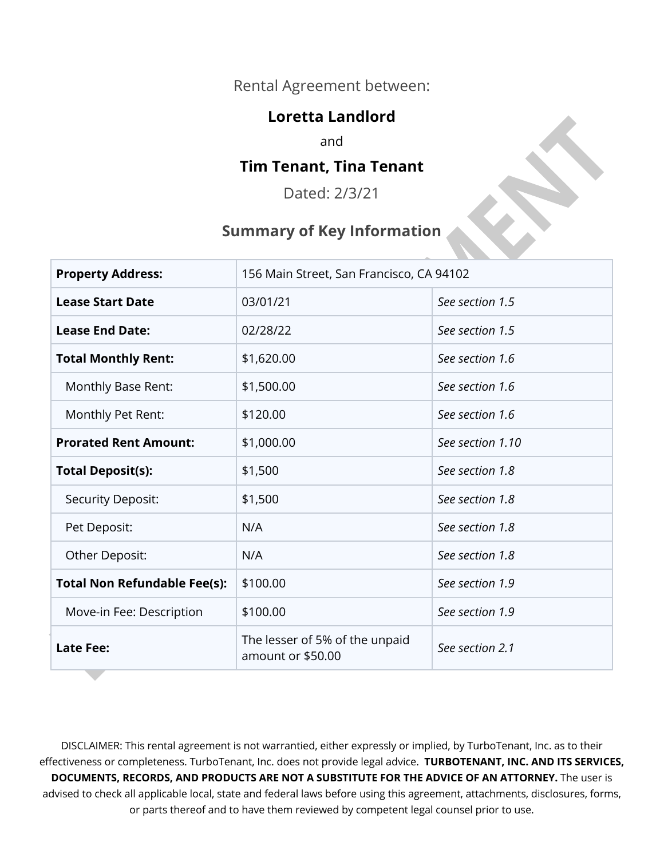#### Rental Agreement between:

#### **Loretta Landlord**

and

#### **Tim Tenant, Tina Tenant**

Dated: 2/3/21

#### **Summary of Key Information**

| <b>Property Address:</b>            | 156 Main Street, San Francisco, CA 94102            |                  |
|-------------------------------------|-----------------------------------------------------|------------------|
| <b>Lease Start Date</b>             | 03/01/21                                            | See section 1.5  |
| <b>Lease End Date:</b>              | 02/28/22                                            | See section 1.5  |
| <b>Total Monthly Rent:</b>          | \$1,620.00                                          | See section 1.6  |
| Monthly Base Rent:                  | \$1,500.00                                          | See section 1.6  |
| Monthly Pet Rent:                   | \$120.00                                            | See section 1.6  |
| <b>Prorated Rent Amount:</b>        | \$1,000.00                                          | See section 1.10 |
| <b>Total Deposit(s):</b>            | \$1,500                                             | See section 1.8  |
| <b>Security Deposit:</b>            | \$1,500                                             | See section 1.8  |
| Pet Deposit:                        | N/A                                                 | See section 1.8  |
| Other Deposit:                      | N/A                                                 | See section 1.8  |
| <b>Total Non Refundable Fee(s):</b> | \$100.00                                            | See section 1.9  |
| Move-in Fee: Description            | \$100.00                                            | See section 1.9  |
| <b>Late Fee:</b>                    | The lesser of 5% of the unpaid<br>amount or \$50.00 | See section 2.1  |

DISCLAIMER: This rental agreement is not warrantied, either expressly or implied, by TurboTenant, Inc. as to their effectiveness or completeness. TurboTenant, Inc. does not provide legal advice. **TURBOTENANT, INC. AND ITS SERVICES, DOCUMENTS, RECORDS, AND PRODUCTS ARE NOT A SUBSTITUTE FOR THE ADVICE OF AN ATTORNEY.** The user is advised to check all applicable local, state and federal laws before using this agreement, attachments, disclosures, forms, or parts thereof and to have them reviewed by competent legal counsel prior to use.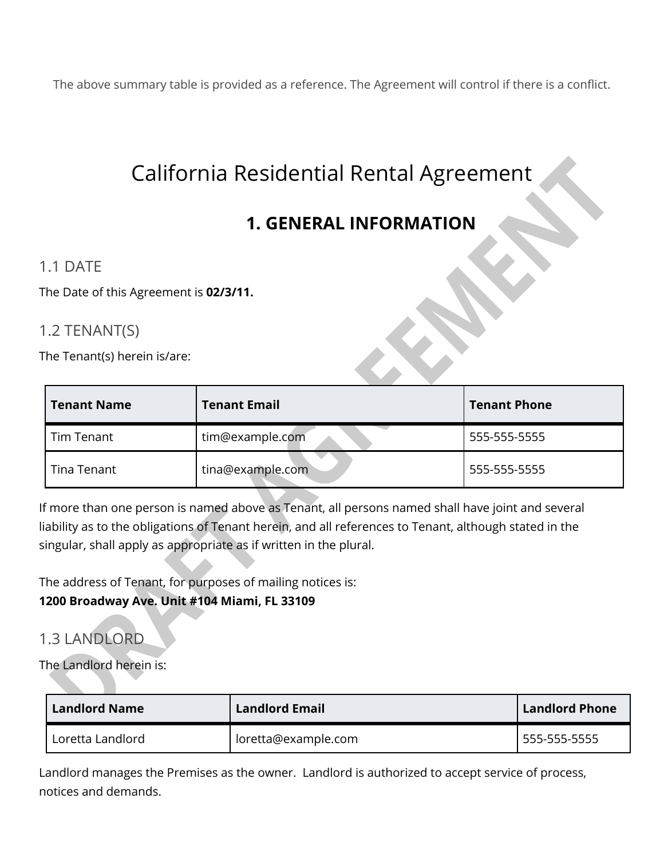The above summary table is provided as a reference. The Agreement will control if there is a conflict.

# California Residential Rental Agreement

# **1. GENERAL INFORMATION**

#### 1.1 DATE

The Date of this Agreement is **02/3/11.** 

#### 1.2 TENANT(S)

The Tenant(s) herein is/are:

| <b>Tenant Name</b> | <b>Tenant Email</b> | <b>Tenant Phone</b> |
|--------------------|---------------------|---------------------|
| Tim Tenant         | tim@example.com     | 555-555-5555        |
| Tina Tenant        | tina@example.com    | 555-555-5555        |

If more than one person is named above as Tenant, all persons named shall have joint and several liability as to the obligations of Tenant herein, and all references to Tenant, although stated in the singular, shall apply as appropriate as if written in the plural.

The address of Tenant, for purposes of mailing notices is:

#### **1200 Broadway Ave. Unit #104 Miami, FL 33109**

## 1.3 LANDLORD

The Landlord herein is:

| <b>Landlord Name</b> | <b>Landlord Email</b> | <b>Landlord Phone</b> |
|----------------------|-----------------------|-----------------------|
| Loretta Landlord     | loretta@example.com   | 555-555-5555          |

Landlord manages the Premises as the owner. Landlord is authorized to accept service of process, notices and demands.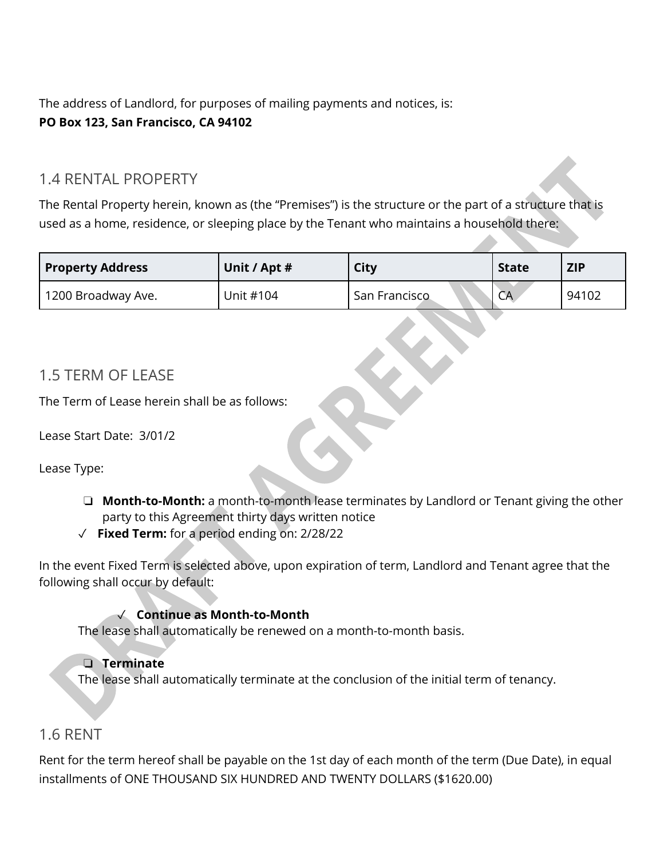The address of Landlord, for purposes of mailing payments and notices, is: **PO Box 123, San Francisco, CA 94102**

#### 1.4 RENTAL PROPERTY

The Rental Property herein, known as (the "Premises") is the structure or the part of a structure that is used as a home, residence, or sleeping place by the Tenant who maintains a household there:

| <b>Property Address</b> | Unit / Apt # | City          | <b>State</b> | <b>ZIP</b> |
|-------------------------|--------------|---------------|--------------|------------|
| 1200 Broadway Ave.      | Unit #104    | San Francisco | CA           | 94102      |

#### 1.5 TERM OF LEASE

The Term of Lease herein shall be as follows:

Lease Start Date:3/01/2

Lease Type:

- ❏ **Month-to-Month:** a month-to-month lease terminates by Landlord or Tenant giving the other party to this Agreement thirty days written notice
- ✓ **Fixed Term:** for a period ending on: 2/28/22

In the event Fixed Term is selected above, upon expiration of term, Landlord and Tenant agree that the following shall occur by default:

#### ✓ **Continue as Month-to-Month**

The lease shall automatically be renewed on a month-to-month basis.

#### ❏ **Terminate**

The lease shall automatically terminate at the conclusion of the initial term of tenancy.

#### 1.6 RENT

Rent for the term hereof shall be payable on the 1st day of each month of the term (Due Date), in equal installments of ONE THOUSAND SIX HUNDRED AND TWENTY DOLLARS (\$1620.00)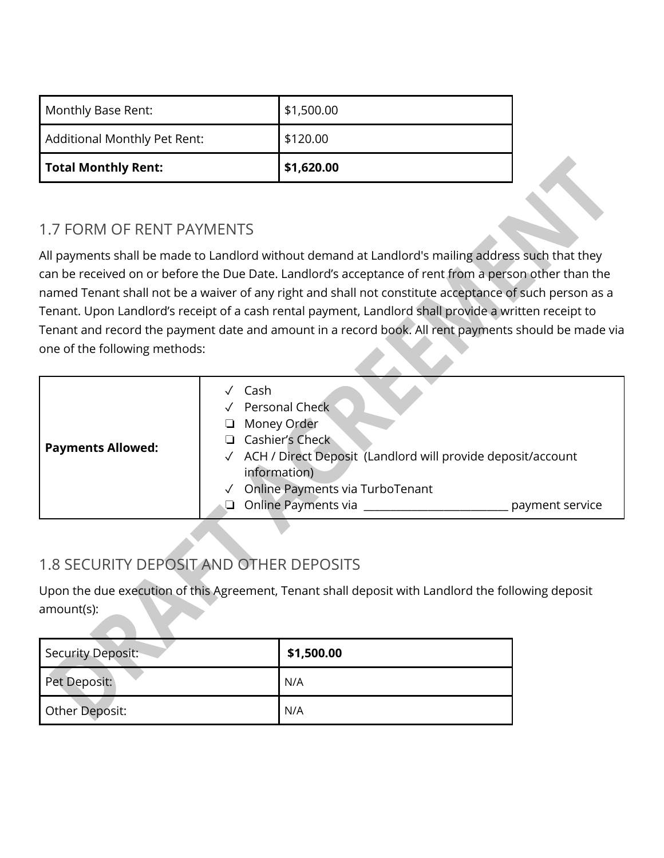| Monthly Base Rent:           | \$1,500.00 |
|------------------------------|------------|
| Additional Monthly Pet Rent: | \$120.00   |
| Total Monthly Rent:          | \$1,620.00 |

#### 1.7 FORM OF RENT PAYMENTS

All payments shall be made to Landlord without demand at Landlord's mailing address such that they can be received on or before the Due Date. Landlord's acceptance of rent from a person other than the named Tenant shall not be a waiver of any right and shall not constitute acceptance of such person as a Tenant. Upon Landlord's receipt of a cash rental payment, Landlord shall provide a written receipt to Tenant and record the payment date and amount in a record book. All rent payments should be made via one of the following methods:

| <b>Payments Allowed:</b> | Cash<br>Personal Check<br>Money Order<br>□<br>Cashier's Check<br>√ ACH / Direct Deposit (Landlord will provide deposit/account<br>information)<br>Online Payments via TurboTenant<br>Online Payments via<br>payment service |
|--------------------------|-----------------------------------------------------------------------------------------------------------------------------------------------------------------------------------------------------------------------------|
|--------------------------|-----------------------------------------------------------------------------------------------------------------------------------------------------------------------------------------------------------------------------|

# 1.8 SECURITY DEPOSIT AND OTHER DEPOSITS

Upon the due execution of this Agreement, Tenant shall deposit with Landlord the following deposit amount(s):

| Security Deposit: | \$1,500.00 |
|-------------------|------------|
| Pet Deposit:      | N/A        |
| Other Deposit:    | N/A        |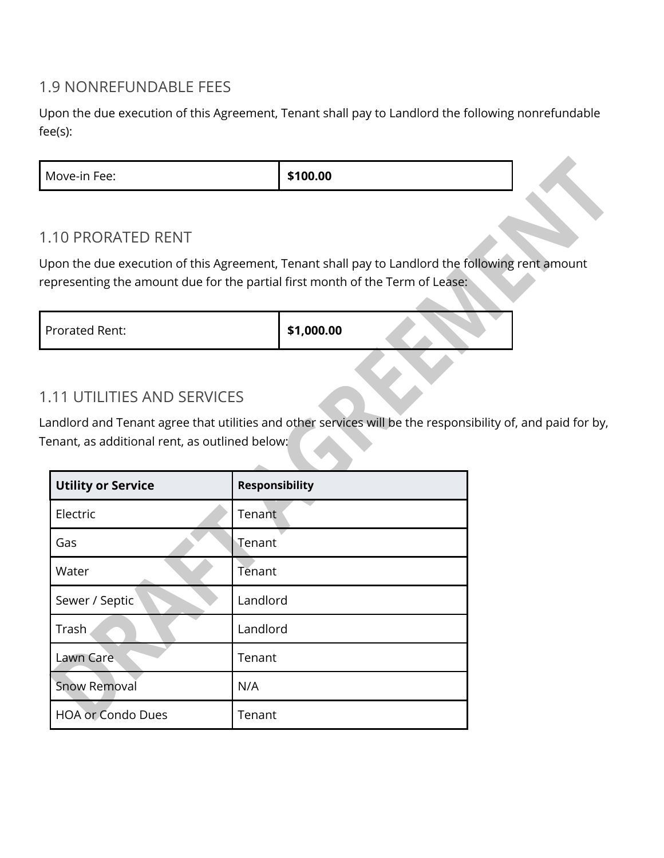#### 1.9 NONREFUNDABLE FEES

Upon the due execution of this Agreement, Tenant shall pay to Landlord the following nonrefundable fee(s):

| \$100.00<br>Move-in Fee: |
|--------------------------|
|--------------------------|

#### 1.10 PRORATED RENT

Upon the due execution of this Agreement, Tenant shall pay to Landlord the following rent amount representing the amount due for the partial first month of the Term of Lease:

| Prorated Rent: | \$1,000.00 |  |
|----------------|------------|--|
|                |            |  |

### 1.11 UTILITIES AND SERVICES

Landlord and Tenant agree that utilities and other services will be the responsibility of, and paid for by, Tenant, as additional rent, as outlined below:

| <b>Utility or Service</b> | <b>Responsibility</b> |
|---------------------------|-----------------------|
| Electric                  | Tenant                |
| Gas                       | Tenant                |
| Water                     | Tenant                |
| Sewer / Septic            | Landlord              |
| Trash                     | Landlord              |
| Lawn Care                 | Tenant                |
| <b>Snow Removal</b>       | N/A                   |
| <b>HOA or Condo Dues</b>  | Tenant                |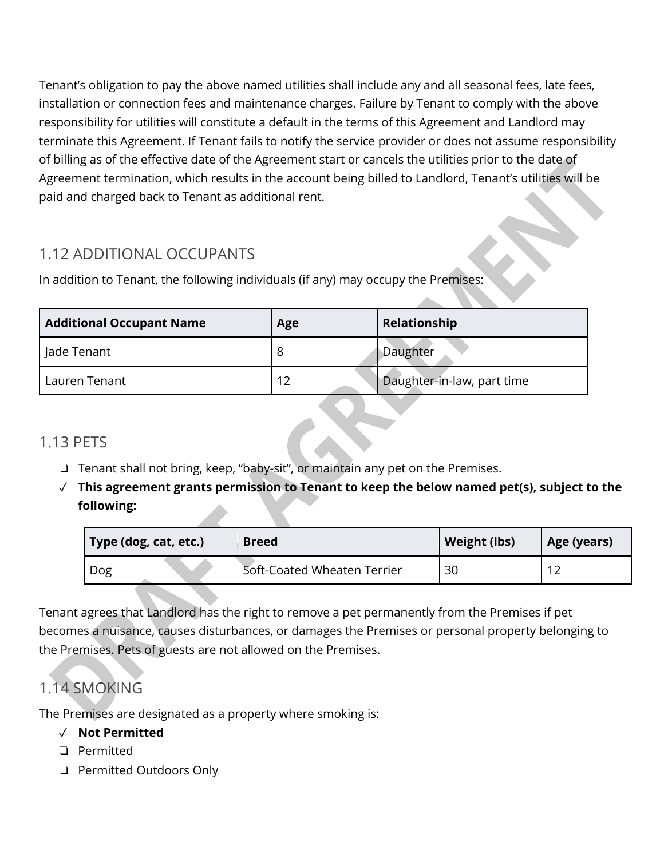Tenant's obligation to pay the above named utilities shall include any and all seasonal fees, late fees, installation or connection fees and maintenance charges. Failure by Tenant to comply with the above responsibility for utilities will constitute a default in the terms of this Agreement and Landlord may terminate this Agreement. If Tenant fails to notify the service provider or does not assume responsibility of billing as of the effective date of the Agreement start or cancels the utilities prior to the date of Agreement termination, which results in the account being billed to Landlord, Tenant's utilities will be paid and charged back to Tenant as additional rent.

### 1.12 ADDITIONAL OCCUPANTS

In addition to Tenant, the following individuals (if any) may occupy the Premises:

| <b>Additional Occupant Name</b> | Age | Relationship               |
|---------------------------------|-----|----------------------------|
| Jade Tenant                     |     | Daughter                   |
| Lauren Tenant                   | 12  | Daughter-in-law, part time |

## 1.13 PETS

- ❏ Tenant shall not bring, keep, "baby-sit", or maintain any pet on the Premises.
- ✓ **This agreement grants permission to Tenant to keep the below named pet(s), subject to the following:**

| Type (dog, cat, etc.) | <b>Breed</b>                | Weight (lbs) | <b>Age (years)</b> |
|-----------------------|-----------------------------|--------------|--------------------|
| Dog                   | Soft-Coated Wheaten Terrier | 30           |                    |

Tenant agrees that Landlord has the right to remove a pet permanently from the Premises if pet becomes a nuisance, causes disturbances, or damages the Premises or personal property belonging to the Premises. Pets of guests are not allowed on the Premises.

# 1.14 SMOKING

The Premises are designated as a property where smoking is:

#### ✓ **Not Permitted**

- ❏ Permitted
- ❏ Permitted Outdoors Only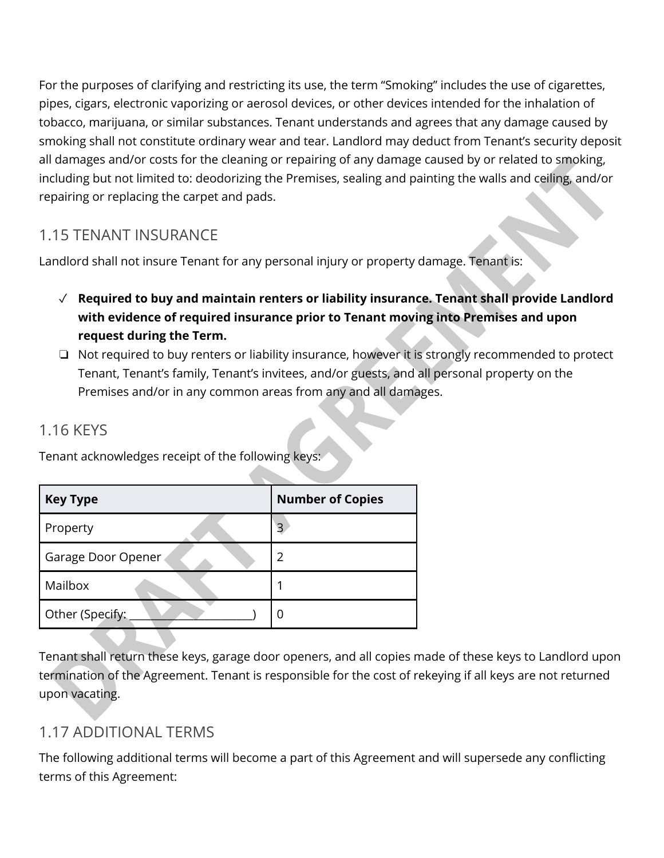For the purposes of clarifying and restricting its use, the term "Smoking" includes the use of cigarettes, pipes, cigars, electronic vaporizing or aerosol devices, or other devices intended for the inhalation of tobacco, marijuana, or similar substances. Tenant understands and agrees that any damage caused by smoking shall not constitute ordinary wear and tear. Landlord may deduct from Tenant's security deposit all damages and/or costs for the cleaning or repairing of any damage caused by or related to smoking, including but not limited to: deodorizing the Premises, sealing and painting the walls and ceiling, and/or repairing or replacing the carpet and pads.

### 1.15 TENANT INSURANCE

Landlord shall not insure Tenant for any personal injury or property damage. Tenant is:

- ✓ **Required to buy and maintain renters or liability insurance. Tenant shall provide Landlord with evidence of required insurance prior to Tenant moving into Premises and upon request during the Term.**
- ❏ Not required to buy renters or liability insurance, however it is strongly recommended to protect Tenant, Tenant's family, Tenant's invitees, and/or guests, and all personal property on the Premises and/or in any common areas from any and all damages.

#### 1.16 KEYS

Tenant acknowledges receipt of the following keys:

| <b>Key Type</b>    | <b>Number of Copies</b> |
|--------------------|-------------------------|
| Property           | 3                       |
| Garage Door Opener | 2                       |
| Mailbox            |                         |
| Other (Specify:    | 0                       |

Tenant shall return these keys, garage door openers, and all copies made of these keys to Landlord upon termination of the Agreement. Tenant is responsible for the cost of rekeying if all keys are not returned upon vacating.

## 1.17 ADDITIONAL TERMS

The following additional terms will become a part of this Agreement and will supersede any conflicting terms of this Agreement: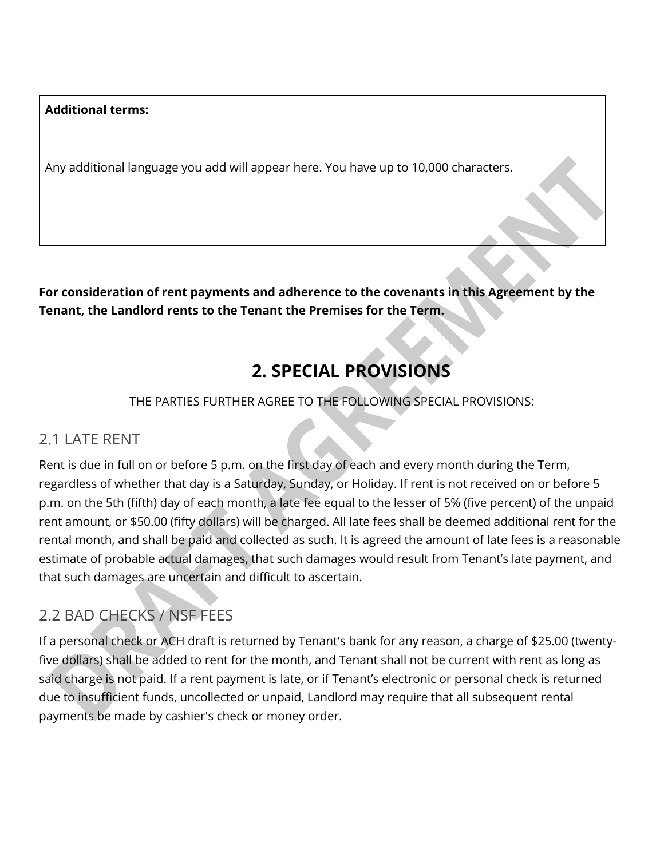#### **Additional terms:**

Any additional language you add will appear here. You have up to 10,000 characters.

**For consideration of rent payments and adherence to the covenants in this Agreement by the Tenant, the Landlord rents to the Tenant the Premises for the Term.** 

# **2. SPECIAL PROVISIONS**

#### THE PARTIES FURTHER AGREE TO THE FOLLOWING SPECIAL PROVISIONS:

#### 2.1 LATE RENT

Rent is due in full on or before 5 p.m. on the first day of each and every month during the Term, regardless of whether that day is a Saturday, Sunday, or Holiday. If rent is not received on or before 5 p.m. on the 5th (fifth) day of each month, a late fee equal to the lesser of 5% (five percent) of the unpaid rent amount, or \$50.00 (fifty dollars) will be charged. All late fees shall be deemed additional rent for the rental month, and shall be paid and collected as such. It is agreed the amount of late fees is a reasonable estimate of probable actual damages, that such damages would result from Tenant's late payment, and that such damages are uncertain and difficult to ascertain.

#### 2.2 BAD CHECKS / NSF FEES

If a personal check or ACH draft is returned by Tenant's bank for any reason, a charge of \$25.00 (twentyfive dollars) shall be added to rent for the month, and Tenant shall not be current with rent as long as said charge is not paid. If a rent payment is late, or if Tenant's electronic or personal check is returned due to insufficient funds, uncollected or unpaid, Landlord may require that all subsequent rental payments be made by cashier's check or money order.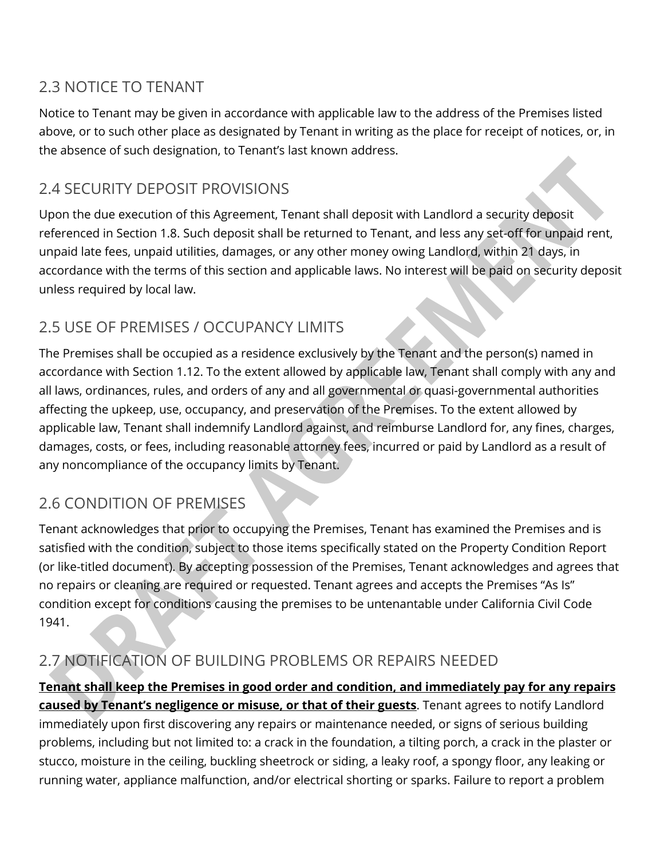### 2.3 NOTICE TO TENANT

Notice to Tenant may be given in accordance with applicable law to the address of the Premises listed above, or to such other place as designated by Tenant in writing as the place for receipt of notices, or, in the absence of such designation, to Tenant's last known address.

### 2.4 SECURITY DEPOSIT PROVISIONS

Upon the due execution of this Agreement, Tenant shall deposit with Landlord a security deposit referenced in Section 1.8. Such deposit shall be returned to Tenant, and less any set-off for unpaid rent, unpaid late fees, unpaid utilities, damages, or any other money owing Landlord, within 21 days, in accordance with the terms of this section and applicable laws. No interest will be paid on security deposit unless required by local law.

### 2.5 USE OF PREMISES / OCCUPANCY LIMITS

The Premises shall be occupied as a residence exclusively by the Tenant and the person(s) named in accordance with Section 1.12. To the extent allowed by applicable law, Tenant shall comply with any and all laws, ordinances, rules, and orders of any and all governmental or quasi-governmental authorities affecting the upkeep, use, occupancy, and preservation of the Premises. To the extent allowed by applicable law, Tenant shall indemnify Landlord against, and reimburse Landlord for, any fines, charges, damages, costs, or fees, including reasonable attorney fees, incurred or paid by Landlord as a result of any noncompliance of the occupancy limits by Tenant.

### 2.6 CONDITION OF PREMISES

Tenant acknowledges that prior to occupying the Premises, Tenant has examined the Premises and is satisfied with the condition, subject to those items specifically stated on the Property Condition Report (or like-titled document). By accepting possession of the Premises, Tenant acknowledges and agrees that no repairs or cleaning are required or requested. Tenant agrees and accepts the Premises "As Is" condition except for conditions causing the premises to be untenantable under California Civil Code 1941.

## 2.7 NOTIFICATION OF BUILDING PROBLEMS OR REPAIRS NEEDED

**Tenant shall keep the Premises in good order and condition, and immediately pay for any repairs caused by Tenant's negligence or misuse, or that of their guests**. Tenant agrees to notify Landlord immediately upon first discovering any repairs or maintenance needed, or signs of serious building problems, including but not limited to: a crack in the foundation, a tilting porch, a crack in the plaster or stucco, moisture in the ceiling, buckling sheetrock or siding, a leaky roof, a spongy floor, any leaking or running water, appliance malfunction, and/or electrical shorting or sparks. Failure to report a problem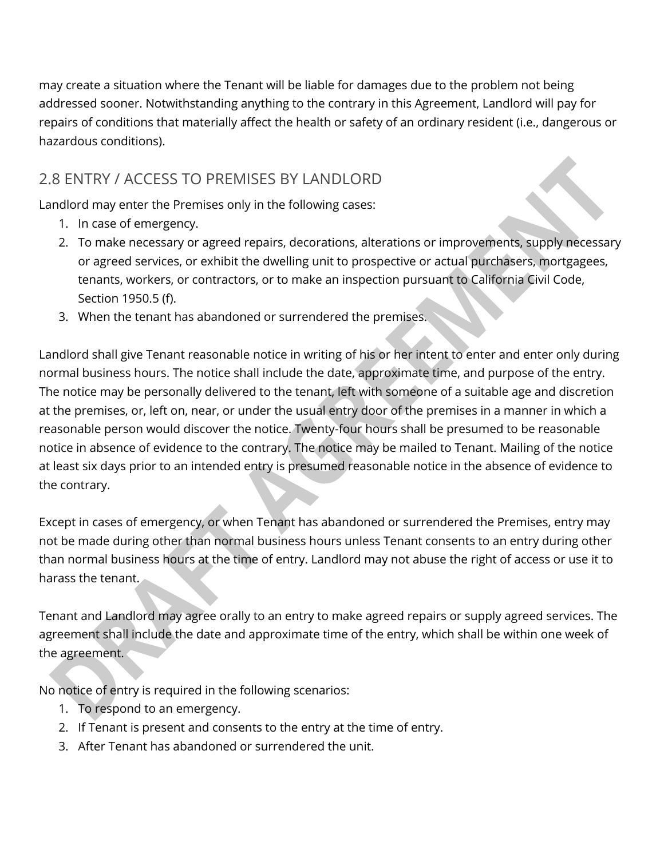may create a situation where the Tenant will be liable for damages due to the problem not being addressed sooner. Notwithstanding anything to the contrary in this Agreement, Landlord will pay for repairs of conditions that materially affect the health or safety of an ordinary resident (i.e., dangerous or hazardous conditions).

### 2.8 ENTRY / ACCESS TO PREMISES BY LANDLORD

Landlord may enter the Premises only in the following cases:

- 1. In case of emergency.
- 2. To make necessary or agreed repairs, decorations, alterations or improvements, supply necessary or agreed services, or exhibit the dwelling unit to prospective or actual purchasers, mortgagees, tenants, workers, or contractors, or to make an inspection pursuant to California Civil Code, Section 1950.5 (f).
- 3. When the tenant has abandoned or surrendered the premises.

Landlord shall give Tenant reasonable notice in writing of his or her intent to enter and enter only during normal business hours. The notice shall include the date, approximate time, and purpose of the entry. The notice may be personally delivered to the tenant, left with someone of a suitable age and discretion at the premises, or, left on, near, or under the usual entry door of the premises in a manner in which a reasonable person would discover the notice. Twenty-four hours shall be presumed to be reasonable notice in absence of evidence to the contrary. The notice may be mailed to Tenant. Mailing of the notice at least six days prior to an intended entry is presumed reasonable notice in the absence of evidence to the contrary.

Except in cases of emergency, or when Tenant has abandoned or surrendered the Premises, entry may not be made during other than normal business hours unless Tenant consents to an entry during other than normal business hours at the time of entry. Landlord may not abuse the right of access or use it to harass the tenant.

Tenant and Landlord may agree orally to an entry to make agreed repairs or supply agreed services. The agreement shall include the date and approximate time of the entry, which shall be within one week of the agreement.

No notice of entry is required in the following scenarios:

- 1. To respond to an emergency.
- 2. If Tenant is present and consents to the entry at the time of entry.
- 3. After Tenant has abandoned or surrendered the unit.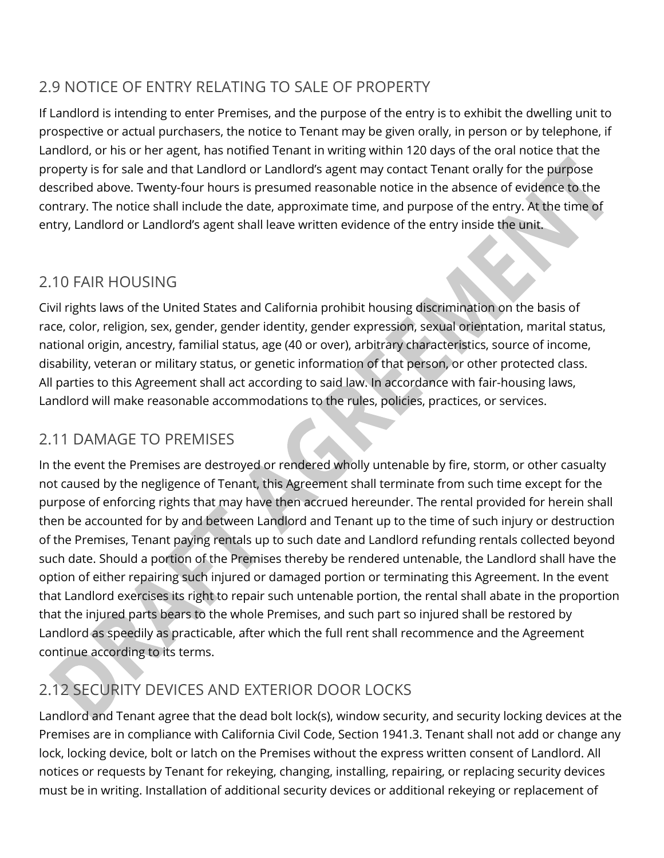## 2.9 NOTICE OF ENTRY RELATING TO SALE OF PROPERTY

If Landlord is intending to enter Premises, and the purpose of the entry is to exhibit the dwelling unit to prospective or actual purchasers, the notice to Tenant may be given orally, in person or by telephone, if Landlord, or his or her agent, has notified Tenant in writing within 120 days of the oral notice that the property is for sale and that Landlord or Landlord's agent may contact Tenant orally for the purpose described above. Twenty-four hours is presumed reasonable notice in the absence of evidence to the contrary. The notice shall include the date, approximate time, and purpose of the entry. At the time of entry, Landlord or Landlord's agent shall leave written evidence of the entry inside the unit.

## 2.10 FAIR HOUSING

Civil rights laws of the United States and California prohibit housing discrimination on the basis of race, color, religion, sex, gender, gender identity, gender expression, sexual orientation, marital status, national origin, ancestry, familial status, age (40 or over), arbitrary characteristics, source of income, disability, veteran or military status, or genetic information of that person, or other protected class. All parties to this Agreement shall act according to said law. In accordance with fair-housing laws, Landlord will make reasonable accommodations to the rules, policies, practices, or services.

# 2.11 DAMAGE TO PREMISES

In the event the Premises are destroyed or rendered wholly untenable by fire, storm, or other casualty not caused by the negligence of Tenant, this Agreement shall terminate from such time except for the purpose of enforcing rights that may have then accrued hereunder. The rental provided for herein shall then be accounted for by and between Landlord and Tenant up to the time of such injury or destruction of the Premises, Tenant paying rentals up to such date and Landlord refunding rentals collected beyond such date. Should a portion of the Premises thereby be rendered untenable, the Landlord shall have the option of either repairing such injured or damaged portion or terminating this Agreement. In the event that Landlord exercises its right to repair such untenable portion, the rental shall abate in the proportion that the injured parts bears to the whole Premises, and such part so injured shall be restored by Landlord as speedily as practicable, after which the full rent shall recommence and the Agreement continue according to its terms.

# 2.12 SECURITY DEVICES AND EXTERIOR DOOR LOCKS

Landlord and Tenant agree that the dead bolt lock(s), window security, and security locking devices at the Premises are in compliance with California Civil Code, Section 1941.3. Tenant shall not add or change any lock, locking device, bolt or latch on the Premises without the express written consent of Landlord. All notices or requests by Tenant for rekeying, changing, installing, repairing, or replacing security devices must be in writing. Installation of additional security devices or additional rekeying or replacement of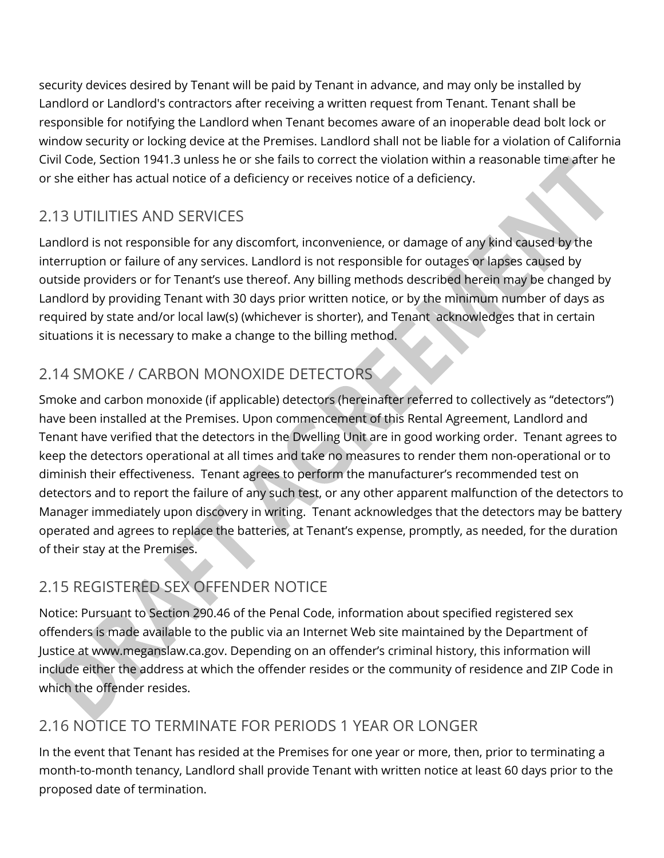security devices desired by Tenant will be paid by Tenant in advance, and may only be installed by Landlord or Landlord's contractors after receiving a written request from Tenant. Tenant shall be responsible for notifying the Landlord when Tenant becomes aware of an inoperable dead bolt lock or window security or locking device at the Premises. Landlord shall not be liable for a violation of California Civil Code, Section 1941.3 unless he or she fails to correct the violation within a reasonable time after he or she either has actual notice of a deficiency or receives notice of a deficiency.

# 2.13 UTILITIES AND SERVICES

Landlord is not responsible for any discomfort, inconvenience, or damage of any kind caused by the interruption or failure of any services. Landlord is not responsible for outages or lapses caused by outside providers or for Tenant's use thereof. Any billing methods described herein may be changed by Landlord by providing Tenant with 30 days prior written notice, or by the minimum number of days as required by state and/or local law(s) (whichever is shorter), and Tenant acknowledges that in certain situations it is necessary to make a change to the billing method.

# 2.14 SMOKE / CARBON MONOXIDE DETECTORS

Smoke and carbon monoxide (if applicable) detectors (hereinafter referred to collectively as "detectors") have been installed at the Premises. Upon commencement of this Rental Agreement, Landlord and Tenant have verified that the detectors in the Dwelling Unit are in good working order. Tenant agrees to keep the detectors operational at all times and take no measures to render them non-operational or to diminish their effectiveness. Tenant agrees to perform the manufacturer's recommended test on detectors and to report the failure of any such test, or any other apparent malfunction of the detectors to Manager immediately upon discovery in writing. Tenant acknowledges that the detectors may be battery operated and agrees to replace the batteries, at Tenant's expense, promptly, as needed, for the duration of their stay at the Premises.

# 2.15 REGISTERED SEX OFFENDER NOTICE

Notice: Pursuant to Section 290.46 of the Penal Code, information about specified registered sex offenders is made available to the public via an Internet Web site maintained by the Department of Justice at www.meganslaw.ca.gov. Depending on an offender's criminal history, this information will include either the address at which the offender resides or the community of residence and ZIP Code in which the offender resides.

# 2.16 NOTICE TO TERMINATE FOR PERIODS 1 YEAR OR LONGER

In the event that Tenant has resided at the Premises for one year or more, then, prior to terminating a month-to-month tenancy, Landlord shall provide Tenant with written notice at least 60 days prior to the proposed date of termination.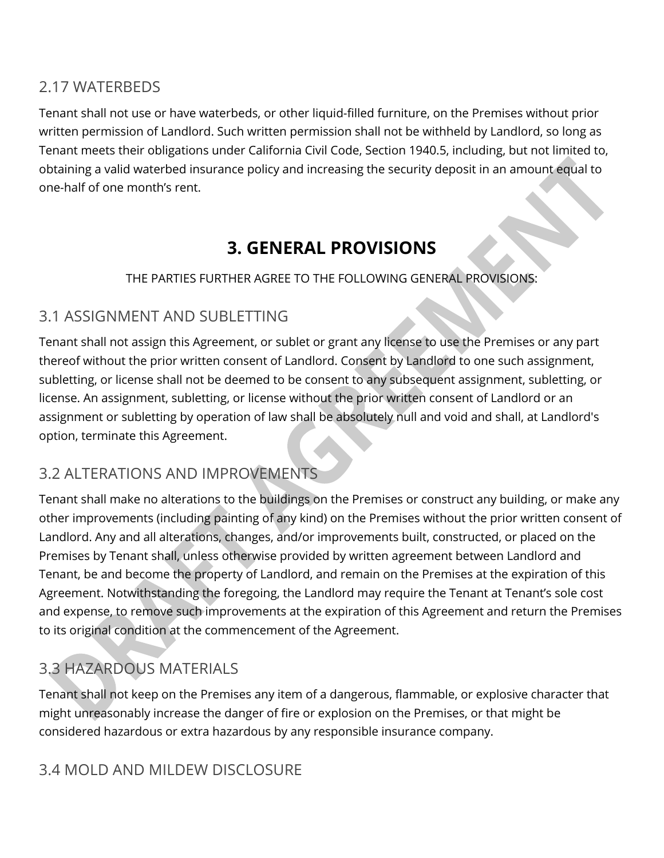#### 2.17 WATERBEDS

Tenant shall not use or have waterbeds, or other liquid-filled furniture, on the Premises without prior written permission of Landlord. Such written permission shall not be withheld by Landlord, so long as Tenant meets their obligations under California Civil Code, Section 1940.5, including, but not limited to, obtaining a valid waterbed insurance policy and increasing the security deposit in an amount equal to one-half of one month's rent.

# **3. GENERAL PROVISIONS**

THE PARTIES FURTHER AGREE TO THE FOLLOWING GENERAL PROVISIONS:

#### 3.1 ASSIGNMENT AND SUBLETTING

Tenant shall not assign this Agreement, or sublet or grant any license to use the Premises or any part thereof without the prior written consent of Landlord. Consent by Landlord to one such assignment, subletting, or license shall not be deemed to be consent to any subsequent assignment, subletting, or license. An assignment, subletting, or license without the prior written consent of Landlord or an assignment or subletting by operation of law shall be absolutely null and void and shall, at Landlord's option, terminate this Agreement.

#### 3.2 ALTERATIONS AND IMPROVEMENTS

Tenant shall make no alterations to the buildings on the Premises or construct any building, or make any other improvements (including painting of any kind) on the Premises without the prior written consent of Landlord. Any and all alterations, changes, and/or improvements built, constructed, or placed on the Premises by Tenant shall, unless otherwise provided by written agreement between Landlord and Tenant, be and become the property of Landlord, and remain on the Premises at the expiration of this Agreement. Notwithstanding the foregoing, the Landlord may require the Tenant at Tenant's sole cost and expense, to remove such improvements at the expiration of this Agreement and return the Premises to its original condition at the commencement of the Agreement.

## 3.3 HAZARDOUS MATERIALS

Tenant shall not keep on the Premises any item of a dangerous, flammable, or explosive character that might unreasonably increase the danger of fire or explosion on the Premises, or that might be considered hazardous or extra hazardous by any responsible insurance company.

### 3.4 MOLD AND MILDEW DISCLOSURE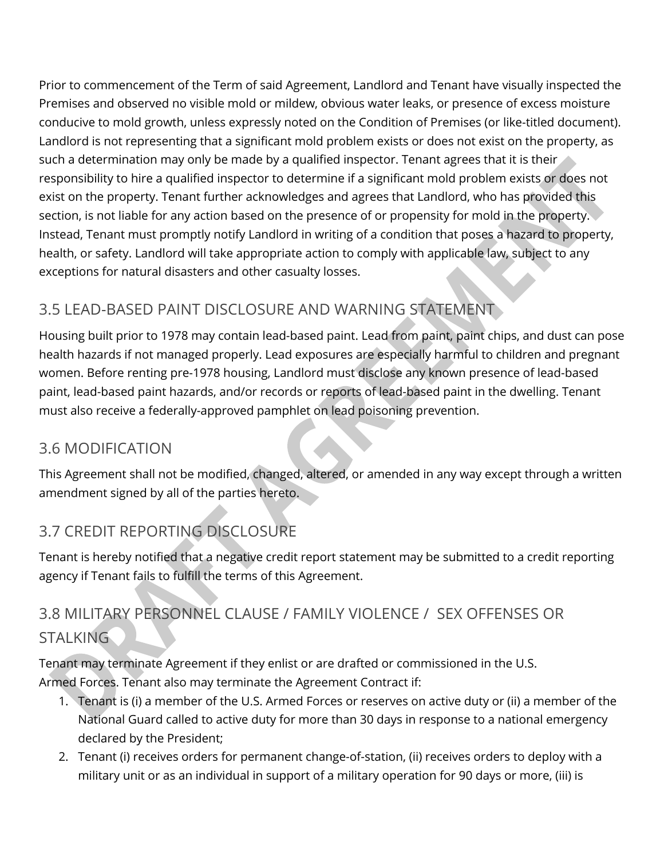Prior to commencement of the Term of said Agreement, Landlord and Tenant have visually inspected the Premises and observed no visible mold or mildew, obvious water leaks, or presence of excess moisture conducive to mold growth, unless expressly noted on the Condition of Premises (or like-titled document). Landlord is not representing that a significant mold problem exists or does not exist on the property, as such a determination may only be made by a qualified inspector. Tenant agrees that it is their responsibility to hire a qualified inspector to determine if a significant mold problem exists or does not exist on the property. Tenant further acknowledges and agrees that Landlord, who has provided this section, is not liable for any action based on the presence of or propensity for mold in the property. Instead, Tenant must promptly notify Landlord in writing of a condition that poses a hazard to property, health, or safety. Landlord will take appropriate action to comply with applicable law, subject to any exceptions for natural disasters and other casualty losses.

# 3.5 LEAD-BASED PAINT DISCLOSURE AND WARNING STATEMENT

Housing built prior to 1978 may contain lead-based paint. Lead from paint, paint chips, and dust can pose health hazards if not managed properly. Lead exposures are especially harmful to children and pregnant women. Before renting pre-1978 housing, Landlord must disclose any known presence of lead-based paint, lead-based paint hazards, and/or records or reports of lead-based paint in the dwelling. Tenant must also receive a federally-approved pamphlet on lead poisoning prevention.

### 3.6 MODIFICATION

This Agreement shall not be modified, changed, altered, or amended in any way except through a written amendment signed by all of the parties hereto.

# 3.7 CREDIT REPORTING DISCLOSURE

Tenant is hereby notified that a negative credit report statement may be submitted to a credit reporting agency if Tenant fails to fulfill the terms of this Agreement.

# 3.8 MILITARY PERSONNEL CLAUSE / FAMILY VIOLENCE / SEX OFFENSES OR **STALKING**

Tenant may terminate Agreement if they enlist or are drafted or commissioned in the U.S. Armed Forces. Tenant also may terminate the Agreement Contract if:

- 1. Tenant is (i) a member of the U.S. Armed Forces or reserves on active duty or (ii) a member of the National Guard called to active duty for more than 30 days in response to a national emergency declared by the President;
- 2. Tenant (i) receives orders for permanent change-of-station, (ii) receives orders to deploy with a military unit or as an individual in support of a military operation for 90 days or more, (iii) is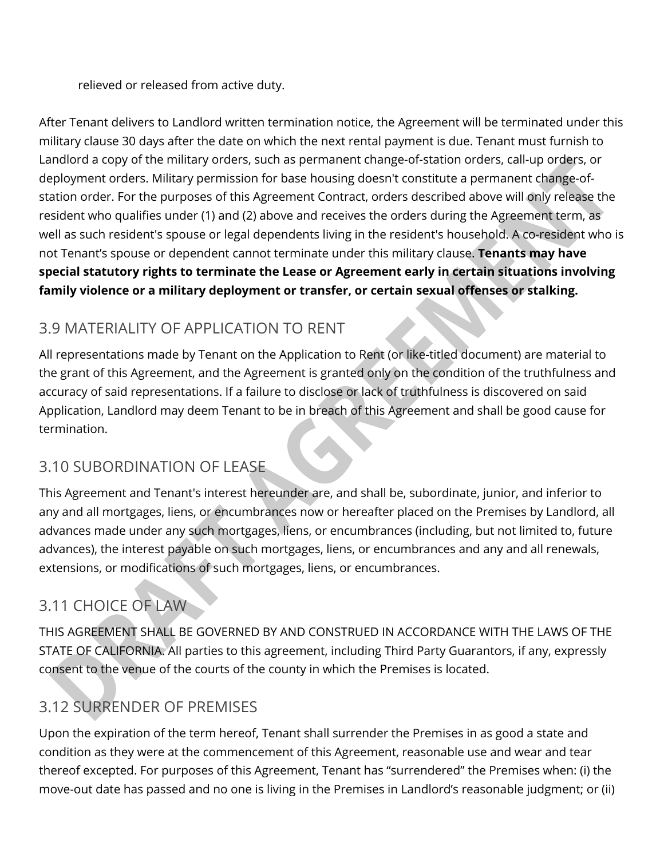relieved or released from active duty.

After Tenant delivers to Landlord written termination notice, the Agreement will be terminated under this military clause 30 days after the date on which the next rental payment is due. Tenant must furnish to Landlord a copy of the military orders, such as permanent change-of-station orders, call-up orders, or deployment orders. Military permission for base housing doesn't constitute a permanent change-ofstation order. For the purposes of this Agreement Contract, orders described above will only release the resident who qualifies under (1) and (2) above and receives the orders during the Agreement term, as well as such resident's spouse or legal dependents living in the resident's household. A co-resident who is not Tenant's spouse or dependent cannot terminate under this military clause. **Tenants may have special statutory rights to terminate the Lease or Agreement early in certain situations involving family violence or a military deployment or transfer, or certain sexual offenses or stalking.** 

# 3.9 MATERIALITY OF APPLICATION TO RENT

All representations made by Tenant on the Application to Rent (or like-titled document) are material to the grant of this Agreement, and the Agreement is granted only on the condition of the truthfulness and accuracy of said representations. If a failure to disclose or lack of truthfulness is discovered on said Application, Landlord may deem Tenant to be in breach of this Agreement and shall be good cause for termination.

## 3.10 SUBORDINATION OF LEASE

This Agreement and Tenant's interest hereunder are, and shall be, subordinate, junior, and inferior to any and all mortgages, liens, or encumbrances now or hereafter placed on the Premises by Landlord, all advances made under any such mortgages, liens, or encumbrances (including, but not limited to, future advances), the interest payable on such mortgages, liens, or encumbrances and any and all renewals, extensions, or modifications of such mortgages, liens, or encumbrances.

# 3.11 CHOICE OF LAW

THIS AGREEMENT SHALL BE GOVERNED BY AND CONSTRUED IN ACCORDANCE WITH THE LAWS OF THE STATE OF CALIFORNIA. All parties to this agreement, including Third Party Guarantors, if any, expressly consent to the venue of the courts of the county in which the Premises is located.

# 3.12 SURRENDER OF PREMISES

Upon the expiration of the term hereof, Tenant shall surrender the Premises in as good a state and condition as they were at the commencement of this Agreement, reasonable use and wear and tear thereof excepted. For purposes of this Agreement, Tenant has "surrendered" the Premises when: (i) the move-out date has passed and no one is living in the Premises in Landlord's reasonable judgment; or (ii)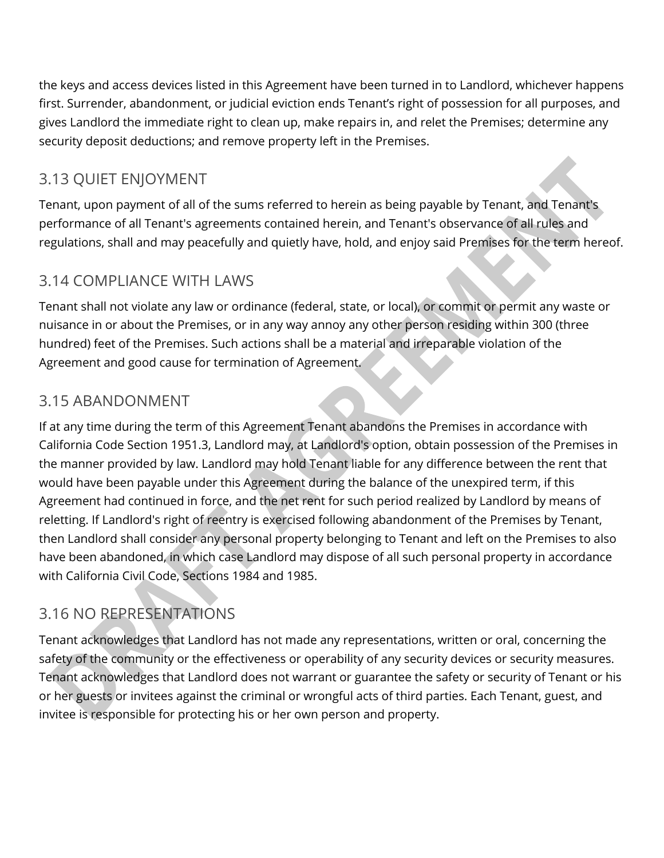the keys and access devices listed in this Agreement have been turned in to Landlord, whichever happens first. Surrender, abandonment, or judicial eviction ends Tenant's right of possession for all purposes, and gives Landlord the immediate right to clean up, make repairs in, and relet the Premises; determine any security deposit deductions; and remove property left in the Premises.

# 3.13 QUIET ENJOYMENT

Tenant, upon payment of all of the sums referred to herein as being payable by Tenant, and Tenant's performance of all Tenant's agreements contained herein, and Tenant's observance of all rules and regulations, shall and may peacefully and quietly have, hold, and enjoy said Premises for the term hereof.

### 3.14 COMPLIANCE WITH LAWS

Tenant shall not violate any law or ordinance (federal, state, or local), or commit or permit any waste or nuisance in or about the Premises, or in any way annoy any other person residing within 300 (three hundred) feet of the Premises. Such actions shall be a material and irreparable violation of the Agreement and good cause for termination of Agreement.

# 3.15 ABANDONMENT

If at any time during the term of this Agreement Tenant abandons the Premises in accordance with California Code Section 1951.3, Landlord may, at Landlord's option, obtain possession of the Premises in the manner provided by law. Landlord may hold Tenant liable for any difference between the rent that would have been payable under this Agreement during the balance of the unexpired term, if this Agreement had continued in force, and the net rent for such period realized by Landlord by means of reletting. If Landlord's right of reentry is exercised following abandonment of the Premises by Tenant, then Landlord shall consider any personal property belonging to Tenant and left on the Premises to also have been abandoned, in which case Landlord may dispose of all such personal property in accordance with California Civil Code, Sections 1984 and 1985.

## 3.16 NO REPRESENTATIONS

Tenant acknowledges that Landlord has not made any representations, written or oral, concerning the safety of the community or the effectiveness or operability of any security devices or security measures. Tenant acknowledges that Landlord does not warrant or guarantee the safety or security of Tenant or his or her guests or invitees against the criminal or wrongful acts of third parties. Each Tenant, guest, and invitee is responsible for protecting his or her own person and property.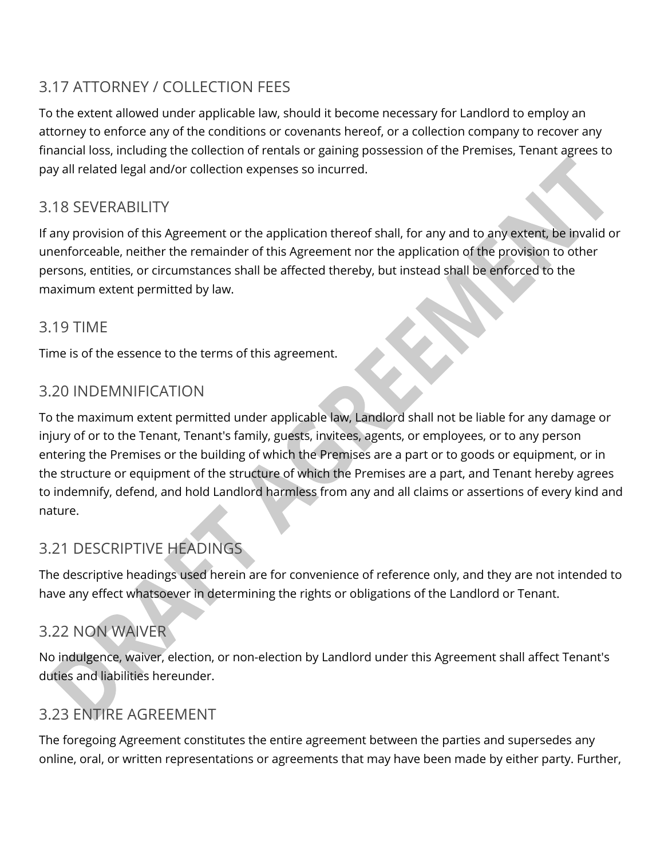# 3.17 ATTORNEY / COLLECTION FEES

To the extent allowed under applicable law, should it become necessary for Landlord to employ an attorney to enforce any of the conditions or covenants hereof, or a collection company to recover any financial loss, including the collection of rentals or gaining possession of the Premises, Tenant agrees to pay all related legal and/or collection expenses so incurred.

#### 3.18 SEVERABILITY

If any provision of this Agreement or the application thereof shall, for any and to any extent, be invalid or unenforceable, neither the remainder of this Agreement nor the application of the provision to other persons, entities, or circumstances shall be affected thereby, but instead shall be enforced to the maximum extent permitted by law.

#### 3.19 TIME

Time is of the essence to the terms of this agreement.

### 3.20 INDEMNIFICATION

To the maximum extent permitted under applicable law, Landlord shall not be liable for any damage or injury of or to the Tenant, Tenant's family, guests, invitees, agents, or employees, or to any person entering the Premises or the building of which the Premises are a part or to goods or equipment, or in the structure or equipment of the structure of which the Premises are a part, and Tenant hereby agrees to indemnify, defend, and hold Landlord harmless from any and all claims or assertions of every kind and nature.

## 3.21 DESCRIPTIVE HEADINGS

The descriptive headings used herein are for convenience of reference only, and they are not intended to have any effect whatsoever in determining the rights or obligations of the Landlord or Tenant.

## 3.22 NON WAIVER

No indulgence, waiver, election, or non-election by Landlord under this Agreement shall affect Tenant's duties and liabilities hereunder.

# 3.23 ENTIRE AGREEMENT

The foregoing Agreement constitutes the entire agreement between the parties and supersedes any online, oral, or written representations or agreements that may have been made by either party. Further,